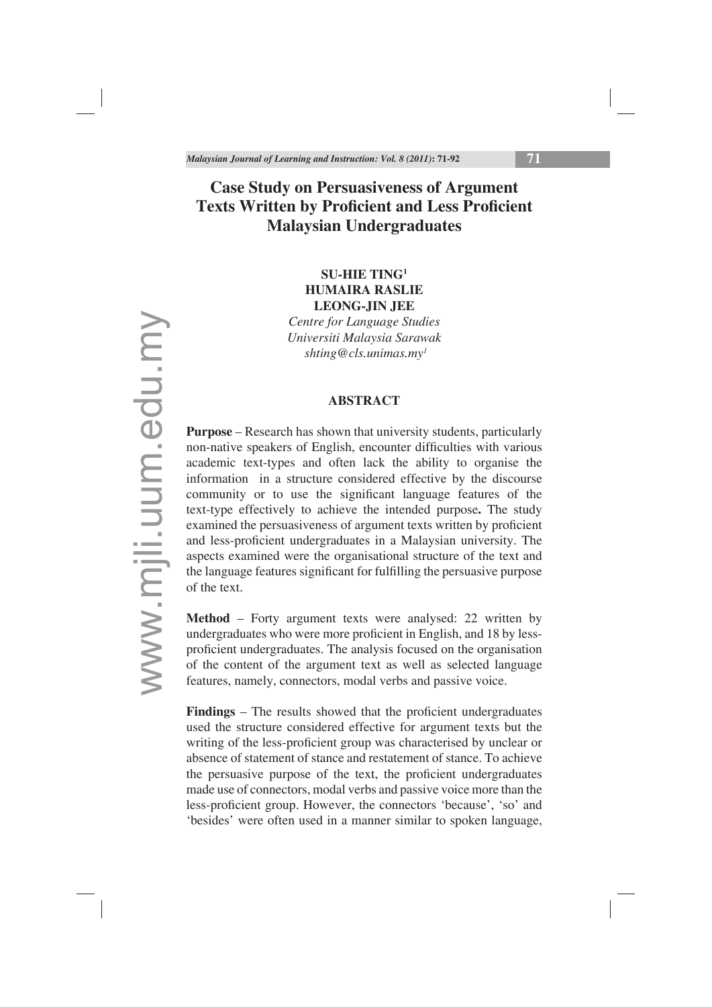# **Case Study on Persuasiveness of Argument Texts Written by Proficient and Less Proficient Malaysian Undergraduates**

## **SU-HIE TING1 HUMAIRA RASLIE LEONG-JIN JEE**

*Centre for Language Studies Universiti Malaysia Sarawak shting@cls.unimas.my1*

## **ABSTRACT**

**Purpose** – Research has shown that university students, particularly non-native speakers of English, encounter difficulties with various academic text-types and often lack the ability to organise the information in a structure considered effective by the discourse community or to use the significant language features of the text-type effectively to achieve the intended purpose**.** The study examined the persuasiveness of argument texts written by proficient and less-proficient undergraduates in a Malaysian university. The aspects examined were the organisational structure of the text and the language features significant for fulfilling the persuasive purpose of the text.

**Method** – Forty argument texts were analysed: 22 written by undergraduates who were more proficient in English, and 18 by lessproficient undergraduates. The analysis focused on the organisation of the content of the argument text as well as selected language features, namely, connectors, modal verbs and passive voice.

**Findings** – The results showed that the proficient undergraduates used the structure considered effective for argument texts but the writing of the less-proficient group was characterised by unclear or absence of statement of stance and restatement of stance. To achieve the persuasive purpose of the text, the proficient undergraduates made use of connectors, modal verbs and passive voice more than the less-proficient group. However, the connectors 'because', 'so' and 'besides' were often used in a manner similar to spoken language,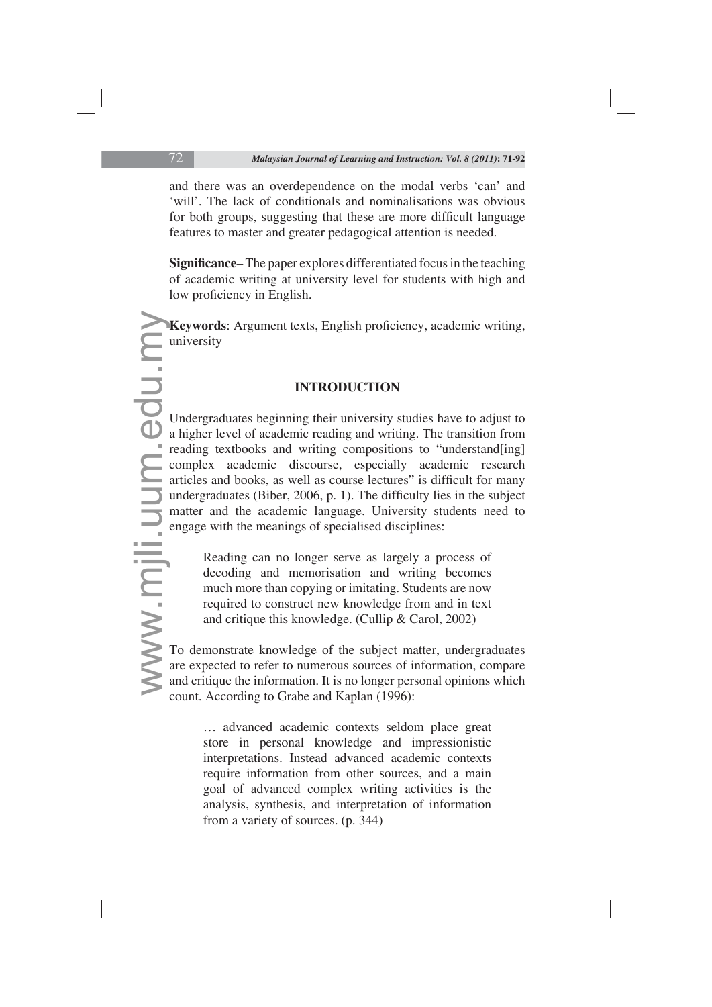and there was an overdependence on the modal verbs 'can' and 'will'. The lack of conditionals and nominalisations was obvious for both groups, suggesting that these are more difficult language features to master and greater pedagogical attention is needed.

**Significance–** The paper explores differentiated focus in the teaching of academic writing at university level for students with high and low proficiency in English.

Keywords: Argument texts, English proficiency, academic writing, university

# **INTRODUCTION**

We were the contract of the contract of the contract of the contract of the contract of the contract of the contract of the contract of the contract of the contract of the contract of the contract of the contract of the co Undergraduates beginning their university studies have to adjust to a higher level of academic reading and writing. The transition from reading textbooks and writing compositions to "understand[ing] complex academic discourse, especially academic research articles and books, as well as course lectures" is difficult for many undergraduates (Biber, 2006, p. 1). The difficulty lies in the subject matter and the academic language. University students need to engage with the meanings of specialised disciplines:

Reading can no longer serve as largely a process of decoding and memorisation and writing becomes much more than copying or imitating. Students are now required to construct new knowledge from and in text and critique this knowledge. (Cullip & Carol, 2002)

To demonstrate knowledge of the subject matter, undergraduates are expected to refer to numerous sources of information, compare and critique the information. It is no longer personal opinions which count. According to Grabe and Kaplan (1996):

… advanced academic contexts seldom place great store in personal knowledge and impressionistic interpretations. Instead advanced academic contexts require information from other sources, and a main goal of advanced complex writing activities is the analysis, synthesis, and interpretation of information from a variety of sources. (p. 344)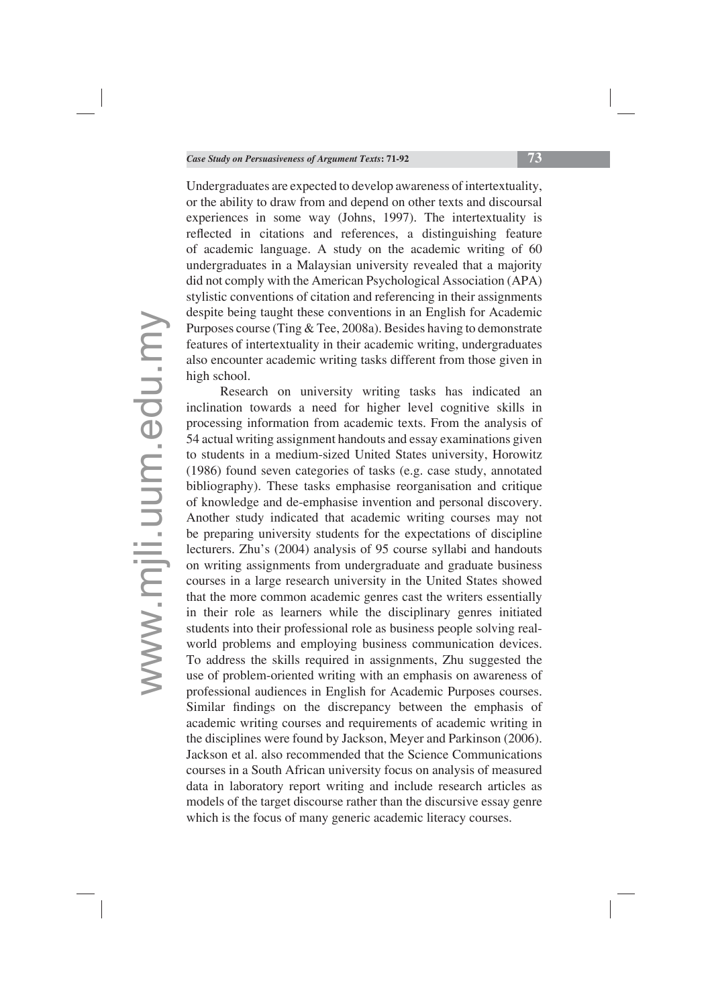Undergraduates are expected to develop awareness of intertextuality, or the ability to draw from and depend on other texts and discoursal experiences in some way (Johns, 1997). The intertextuality is reflected in citations and references, a distinguishing feature of academic language. A study on the academic writing of 60 undergraduates in a Malaysian university revealed that a majority did not comply with the American Psychological Association (APA) stylistic conventions of citation and referencing in their assignments despite being taught these conventions in an English for Academic Purposes course (Ting & Tee, 2008a). Besides having to demonstrate features of intertextuality in their academic writing, undergraduates also encounter academic writing tasks different from those given in high school.

Research on university writing tasks has indicated an inclination towards a need for higher level cognitive skills in processing information from academic texts. From the analysis of 54 actual writing assignment handouts and essay examinations given to students in a medium-sized United States university, Horowitz (1986) found seven categories of tasks (e.g. case study, annotated bibliography). These tasks emphasise reorganisation and critique of knowledge and de-emphasise invention and personal discovery. Another study indicated that academic writing courses may not be preparing university students for the expectations of discipline lecturers. Zhu's (2004) analysis of 95 course syllabi and handouts on writing assignments from undergraduate and graduate business courses in a large research university in the United States showed that the more common academic genres cast the writers essentially in their role as learners while the disciplinary genres initiated students into their professional role as business people solving realworld problems and employing business communication devices. To address the skills required in assignments, Zhu suggested the use of problem-oriented writing with an emphasis on awareness of professional audiences in English for Academic Purposes courses. Similar findings on the discrepancy between the emphasis of academic writing courses and requirements of academic writing in the disciplines were found by Jackson, Meyer and Parkinson (2006). Jackson et al. also recommended that the Science Communications courses in a South African university focus on analysis of measured data in laboratory report writing and include research articles as models of the target discourse rather than the discursive essay genre which is the focus of many generic academic literacy courses.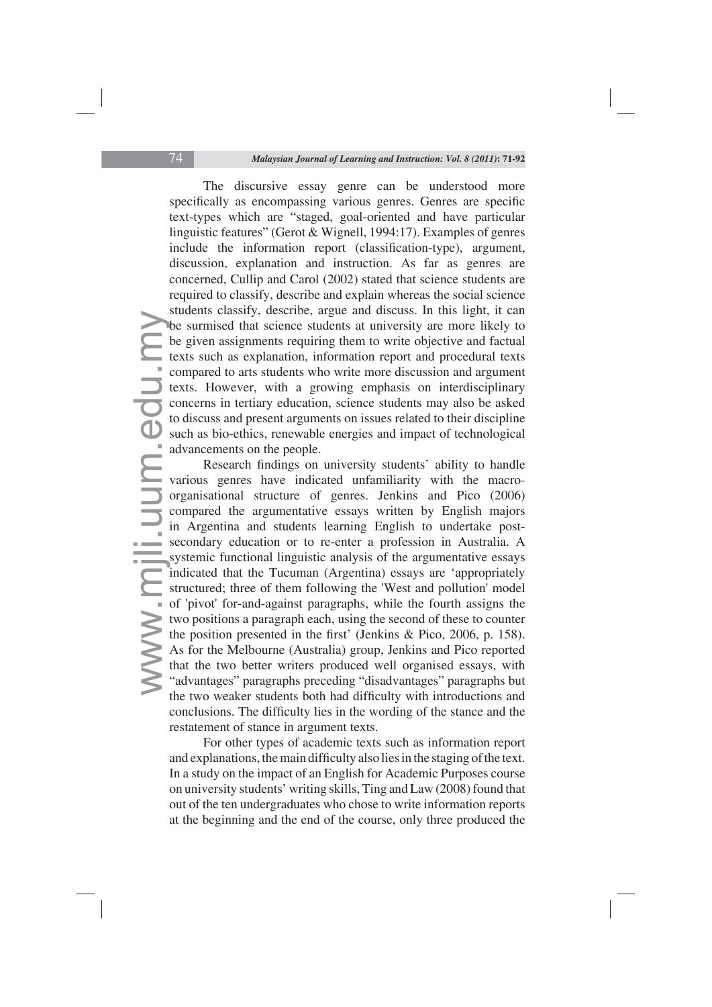The discursive essay genre can be understood more specifically as encompassing various genres. Genres are specific text-types which are "staged, goal-oriented and have particular linguistic features" (Gerot & Wignell, 1994:17). Examples of genres include the information report (classification-type), argument, discussion, explanation and instruction. As far as genres are concerned, Cullip and Carol (2002) stated that science students are required to classify, describe and explain whereas the social science students classify, describe, argue and discuss. In this light, it can be surmised that science students at university are more likely to be given assignments requiring them to write objective and factual texts such as explanation, information report and procedural texts compared to arts students who write more discussion and argument texts. However, with a growing emphasis on interdisciplinary concerns in tertiary education, science students may also be asked to discuss and present arguments on issues related to their discipline such as bio-ethics, renewable energies and impact of technological advancements on the people.

where the contract the contract of the contract of the system of the contract of the contract of the contract of the contract of the contract of the contract of the contract of the contract of the contract of the contract Research findings on university students' ability to handle various genres have indicated unfamiliarity with the macroorganisational structure of genres. Jenkins and Pico (2006) compared the argumentative essays written by English majors in Argentina and students learning English to undertake postsecondary education or to re-enter a profession in Australia. A systemic functional linguistic analysis of the argumentative essays indicated that the Tucuman (Argentina) essays are 'appropriately structured; three of them following the 'West and pollution' model of 'pivot' for-and-against paragraphs, while the fourth assigns the two positions a paragraph each, using the second of these to counter the position presented in the first' (Jenkins & Pico, 2006, p. 158). As for the Melbourne (Australia) group, Jenkins and Pico reported that the two better writers produced well organised essays, with "advantages" paragraphs preceding "disadvantages" paragraphs but the two weaker students both had difficulty with introductions and conclusions. The difficulty lies in the wording of the stance and the restatement of stance in argument texts.

For other types of academic texts such as information report and explanations, the main difficulty also lies in the staging of the text. In a study on the impact of an English for Academic Purposes course on university students' writing skills, Ting and Law (2008) found that out of the ten undergraduates who chose to write information reports at the beginning and the end of the course, only three produced the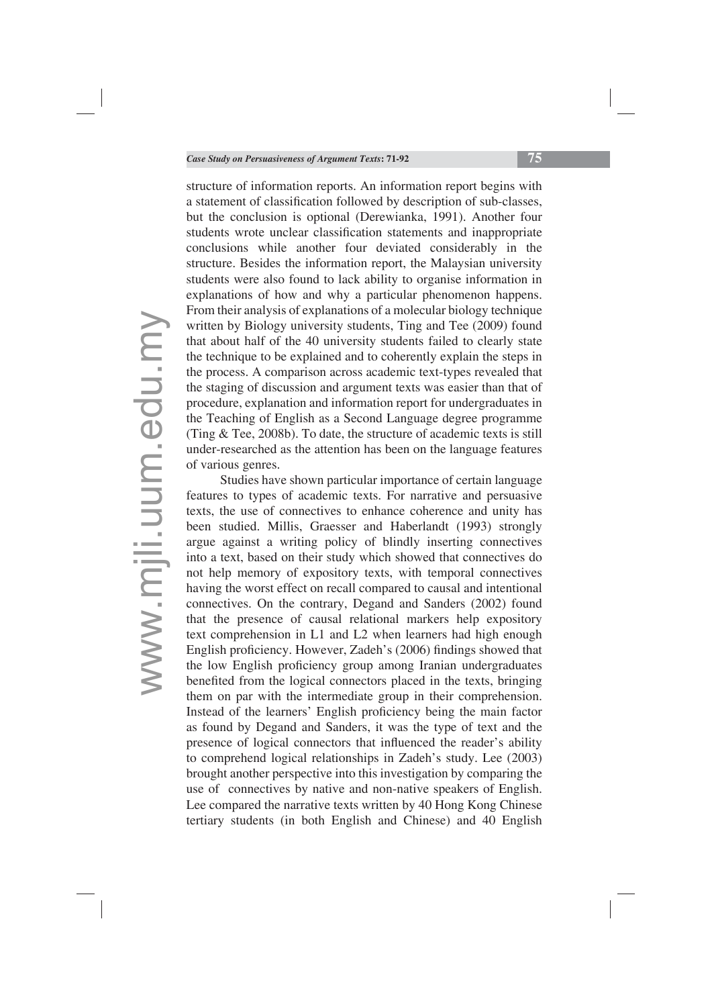structure of information reports. An information report begins with a statement of classification followed by description of sub-classes, but the conclusion is optional (Derewianka, 1991). Another four students wrote unclear classification statements and inappropriate conclusions while another four deviated considerably in the structure. Besides the information report, the Malaysian university students were also found to lack ability to organise information in explanations of how and why a particular phenomenon happens. From their analysis of explanations of a molecular biology technique written by Biology university students, Ting and Tee (2009) found that about half of the 40 university students failed to clearly state the technique to be explained and to coherently explain the steps in the process. A comparison across academic text-types revealed that the staging of discussion and argument texts was easier than that of procedure, explanation and information report for undergraduates in the Teaching of English as a Second Language degree programme (Ting & Tee, 2008b). To date, the structure of academic texts is still under-researched as the attention has been on the language features of various genres.

Studies have shown particular importance of certain language features to types of academic texts. For narrative and persuasive texts, the use of connectives to enhance coherence and unity has been studied. Millis, Graesser and Haberlandt (1993) strongly argue against a writing policy of blindly inserting connectives into a text, based on their study which showed that connectives do not help memory of expository texts, with temporal connectives having the worst effect on recall compared to causal and intentional connectives. On the contrary, Degand and Sanders (2002) found that the presence of causal relational markers help expository text comprehension in L1 and L2 when learners had high enough English proficiency. However, Zadeh's (2006) findings showed that the low English proficiency group among Iranian undergraduates benefited from the logical connectors placed in the texts, bringing them on par with the intermediate group in their comprehension. Instead of the learners' English proficiency being the main factor as found by Degand and Sanders, it was the type of text and the presence of logical connectors that influenced the reader's ability to comprehend logical relationships in Zadeh's study. Lee (2003) brought another perspective into this investigation by comparing the use of connectives by native and non-native speakers of English. Lee compared the narrative texts written by 40 Hong Kong Chinese tertiary students (in both English and Chinese) and 40 English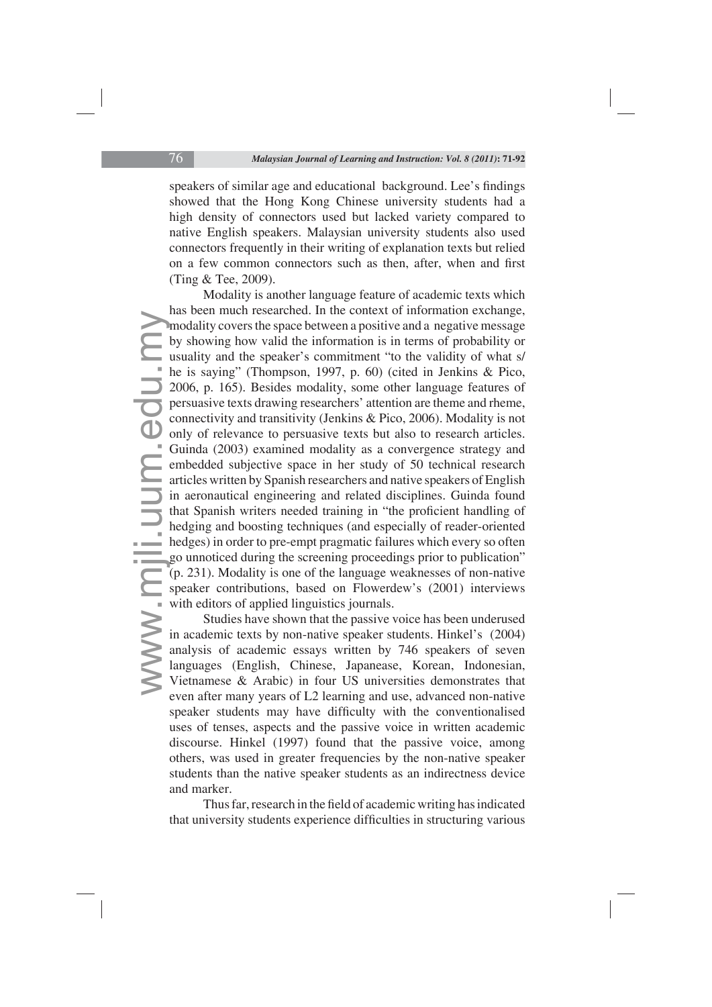speakers of similar age and educational background. Lee's findings showed that the Hong Kong Chinese university students had a high density of connectors used but lacked variety compared to native English speakers. Malaysian university students also used connectors frequently in their writing of explanation texts but relied on a few common connectors such as then, after, when and first (Ting & Tee, 2009).

mm<br>by us<br>he<br>20 pe cc<br>on<br>G er<br>ar in<br>the ge<br>(p sp w<br>in<br>ar la<br>X Modality is another language feature of academic texts which has been much researched. In the context of information exchange, modality covers the space between a positive and a negative message by showing how valid the information is in terms of probability or usuality and the speaker's commitment "to the validity of what s/ he is saying" (Thompson, 1997, p. 60) (cited in Jenkins & Pico, 2006, p. 165). Besides modality, some other language features of persuasive texts drawing researchers' attention are theme and rheme, connectivity and transitivity (Jenkins & Pico, 2006). Modality is not only of relevance to persuasive texts but also to research articles. Guinda (2003) examined modality as a convergence strategy and embedded subjective space in her study of 50 technical research articles written by Spanish researchers and native speakers of English in aeronautical engineering and related disciplines. Guinda found that Spanish writers needed training in "the proficient handling of hedging and boosting techniques (and especially of reader-oriented hedges) in order to pre-empt pragmatic failures which every so often go unnoticed during the screening proceedings prior to publication" (p. 231). Modality is one of the language weaknesses of non-native speaker contributions, based on Flowerdew's (2001) interviews with editors of applied linguistics journals.

Studies have shown that the passive voice has been underused in academic texts by non-native speaker students. Hinkel's (2004) analysis of academic essays written by 746 speakers of seven languages (English, Chinese, Japanease, Korean, Indonesian, Vietnamese & Arabic) in four US universities demonstrates that even after many years of L2 learning and use, advanced non-native speaker students may have difficulty with the conventionalised uses of tenses, aspects and the passive voice in written academic discourse. Hinkel (1997) found that the passive voice, among others, was used in greater frequencies by the non-native speaker students than the native speaker students as an indirectness device and marker.

Thus far, research in the field of academic writing has indicated that university students experience difficulties in structuring various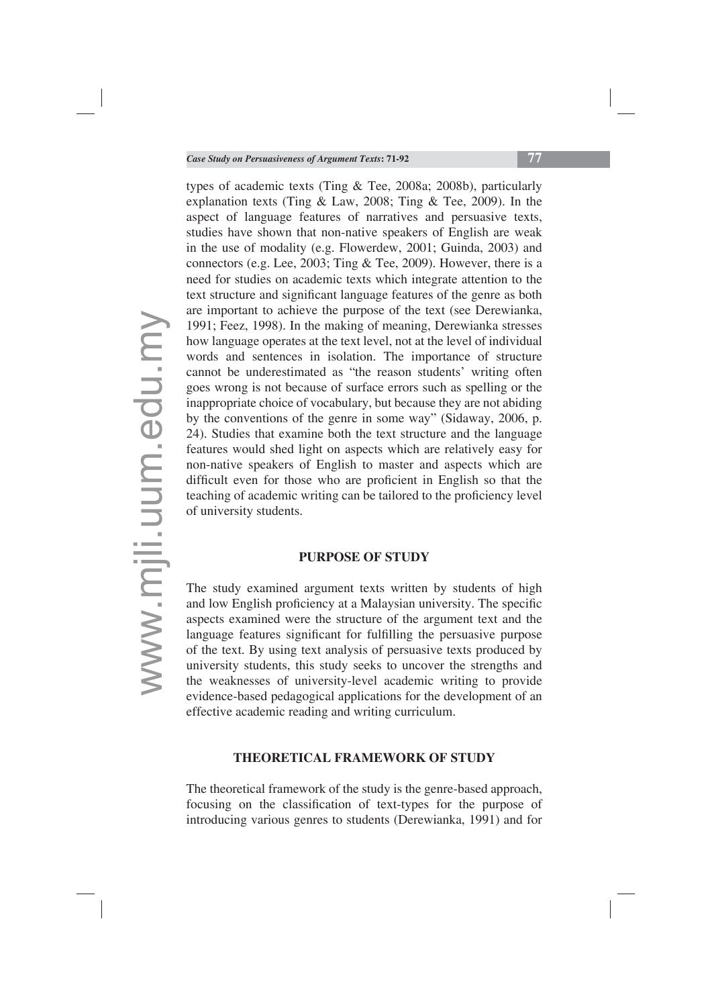types of academic texts (Ting & Tee, 2008a; 2008b), particularly explanation texts (Ting & Law, 2008; Ting & Tee, 2009). In the aspect of language features of narratives and persuasive texts, studies have shown that non-native speakers of English are weak in the use of modality (e.g. Flowerdew, 2001; Guinda, 2003) and connectors (e.g. Lee, 2003; Ting & Tee, 2009). However, there is a need for studies on academic texts which integrate attention to the text structure and significant language features of the genre as both are important to achieve the purpose of the text (see Derewianka, 1991; Feez, 1998). In the making of meaning, Derewianka stresses how language operates at the text level, not at the level of individual words and sentences in isolation. The importance of structure cannot be underestimated as "the reason students' writing often goes wrong is not because of surface errors such as spelling or the inappropriate choice of vocabulary, but because they are not abiding by the conventions of the genre in some way" (Sidaway, 2006, p. 24). Studies that examine both the text structure and the language features would shed light on aspects which are relatively easy for non-native speakers of English to master and aspects which are difficult even for those who are proficient in English so that the teaching of academic writing can be tailored to the proficiency level of university students.

## **PURPOSE OF STUDY**

The study examined argument texts written by students of high and low English proficiency at a Malaysian university. The specific aspects examined were the structure of the argument text and the language features significant for fulfilling the persuasive purpose of the text. By using text analysis of persuasive texts produced by university students, this study seeks to uncover the strengths and the weaknesses of university-level academic writing to provide evidence-based pedagogical applications for the development of an effective academic reading and writing curriculum.

#### **THEORETICAL FRAMEWORK OF STUDY**

The theoretical framework of the study is the genre-based approach, focusing on the classification of text-types for the purpose of introducing various genres to students (Derewianka, 1991) and for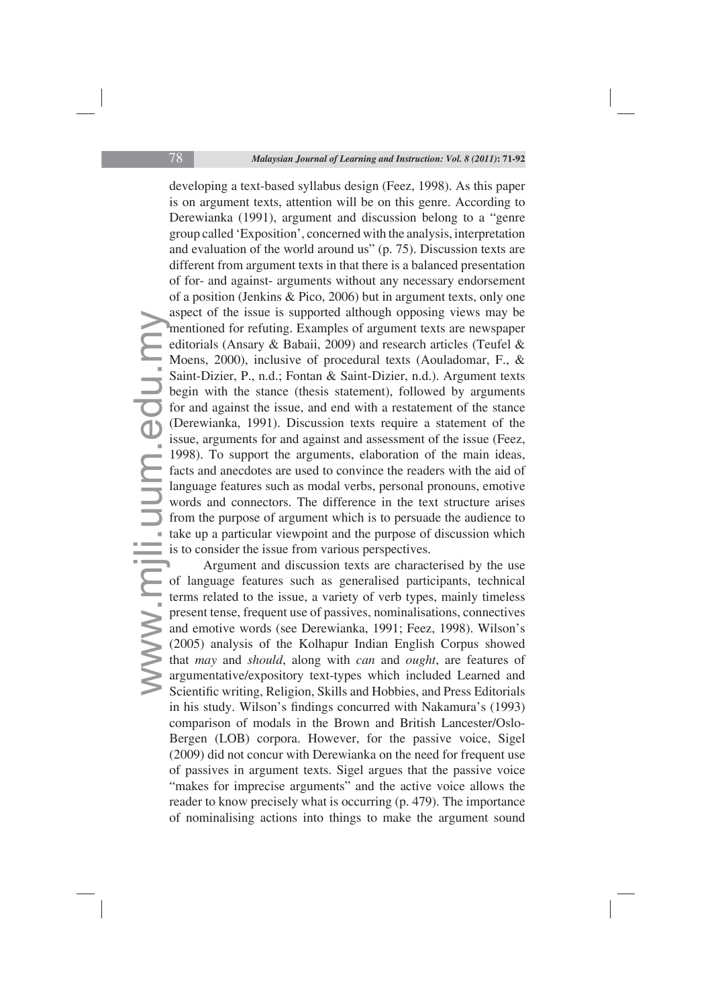as<br>
mec M<br>
sa<br>
ed M<br>
Sa<br>
bec C<br>
for C<br>
fa<br>
la<br>
which ta<br>
is<br>
of te<br>
pu<br>
ar<br>
(2<br>
th<br>
ar<br>
Sa developing a text-based syllabus design (Feez, 1998). As this paper is on argument texts, attention will be on this genre. According to Derewianka (1991), argument and discussion belong to a "genre group called 'Exposition', concerned with the analysis, interpretation and evaluation of the world around us" (p. 75). Discussion texts are different from argument texts in that there is a balanced presentation of for- and against- arguments without any necessary endorsement of a position (Jenkins & Pico, 2006) but in argument texts, only one aspect of the issue is supported although opposing views may be mentioned for refuting. Examples of argument texts are newspaper editorials (Ansary & Babaii, 2009) and research articles (Teufel & Moens, 2000), inclusive of procedural texts (Aouladomar, F., & Saint-Dizier, P., n.d.; Fontan & Saint-Dizier, n.d.). Argument texts begin with the stance (thesis statement), followed by arguments for and against the issue, and end with a restatement of the stance (Derewianka, 1991). Discussion texts require a statement of the issue, arguments for and against and assessment of the issue (Feez, 1998). To support the arguments, elaboration of the main ideas, facts and anecdotes are used to convince the readers with the aid of language features such as modal verbs, personal pronouns, emotive words and connectors. The difference in the text structure arises from the purpose of argument which is to persuade the audience to take up a particular viewpoint and the purpose of discussion which is to consider the issue from various perspectives.

Argument and discussion texts are characterised by the use of language features such as generalised participants, technical terms related to the issue, a variety of verb types, mainly timeless present tense, frequent use of passives, nominalisations, connectives and emotive words (see Derewianka, 1991; Feez, 1998). Wilson's (2005) analysis of the Kolhapur Indian English Corpus showed that *may* and *should*, along with *can* and *ought*, are features of argumentative/expository text-types which included Learned and Scientific writing, Religion, Skills and Hobbies, and Press Editorials in his study. Wilson's findings concurred with Nakamura's (1993) comparison of modals in the Brown and British Lancester/Oslo-Bergen (LOB) corpora. However, for the passive voice, Sigel (2009) did not concur with Derewianka on the need for frequent use of passives in argument texts. Sigel argues that the passive voice "makes for imprecise arguments" and the active voice allows the reader to know precisely what is occurring (p. 479). The importance of nominalising actions into things to make the argument sound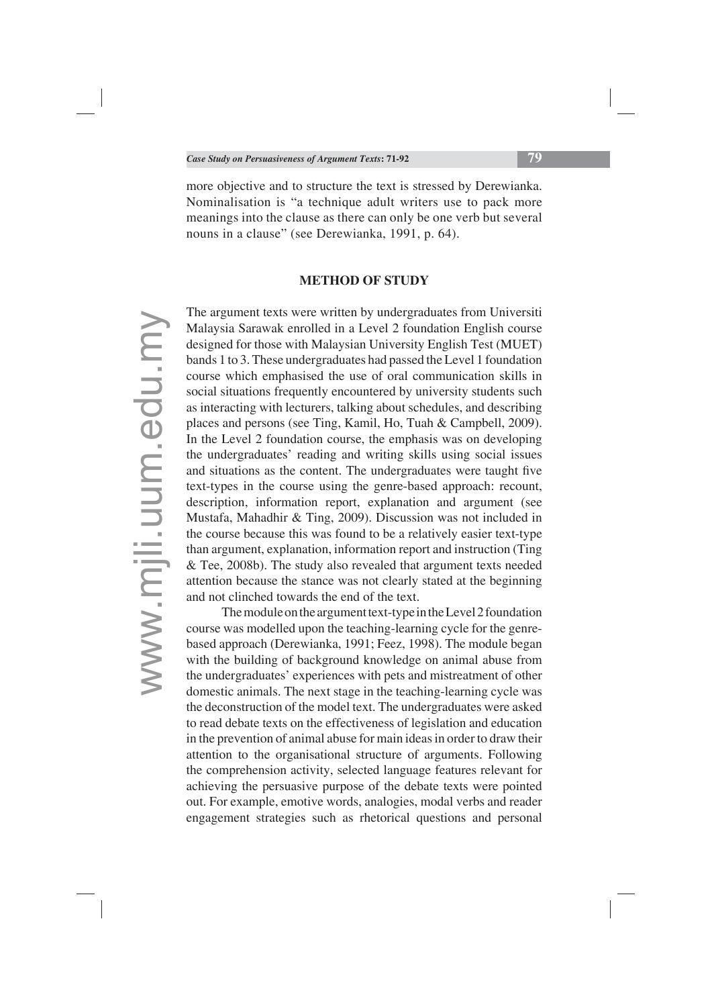more objective and to structure the text is stressed by Derewianka. Nominalisation is "a technique adult writers use to pack more meanings into the clause as there can only be one verb but several nouns in a clause" (see Derewianka, 1991, p. 64).

#### **METHOD OF STUDY**

The argument texts were written by undergraduates from Universiti Malaysia Sarawak enrolled in a Level 2 foundation English course designed for those with Malaysian University English Test (MUET) bands 1 to 3. These undergraduates had passed the Level 1 foundation course which emphasised the use of oral communication skills in social situations frequently encountered by university students such as interacting with lecturers, talking about schedules, and describing places and persons (see Ting, Kamil, Ho, Tuah & Campbell, 2009). In the Level 2 foundation course, the emphasis was on developing the undergraduates' reading and writing skills using social issues and situations as the content. The undergraduates were taught five text-types in the course using the genre-based approach: recount, description, information report, explanation and argument (see Mustafa, Mahadhir & Ting, 2009). Discussion was not included in the course because this was found to be a relatively easier text-type than argument, explanation, information report and instruction (Ting & Tee, 2008b). The study also revealed that argument texts needed attention because the stance was not clearly stated at the beginning and not clinched towards the end of the text.

 The module on the argument text-type in the Level 2 foundation course was modelled upon the teaching-learning cycle for the genrebased approach (Derewianka, 1991; Feez, 1998). The module began with the building of background knowledge on animal abuse from the undergraduates' experiences with pets and mistreatment of other domestic animals. The next stage in the teaching-learning cycle was the deconstruction of the model text. The undergraduates were asked to read debate texts on the effectiveness of legislation and education in the prevention of animal abuse for main ideas in order to draw their attention to the organisational structure of arguments. Following the comprehension activity, selected language features relevant for achieving the persuasive purpose of the debate texts were pointed out. For example, emotive words, analogies, modal verbs and reader engagement strategies such as rhetorical questions and personal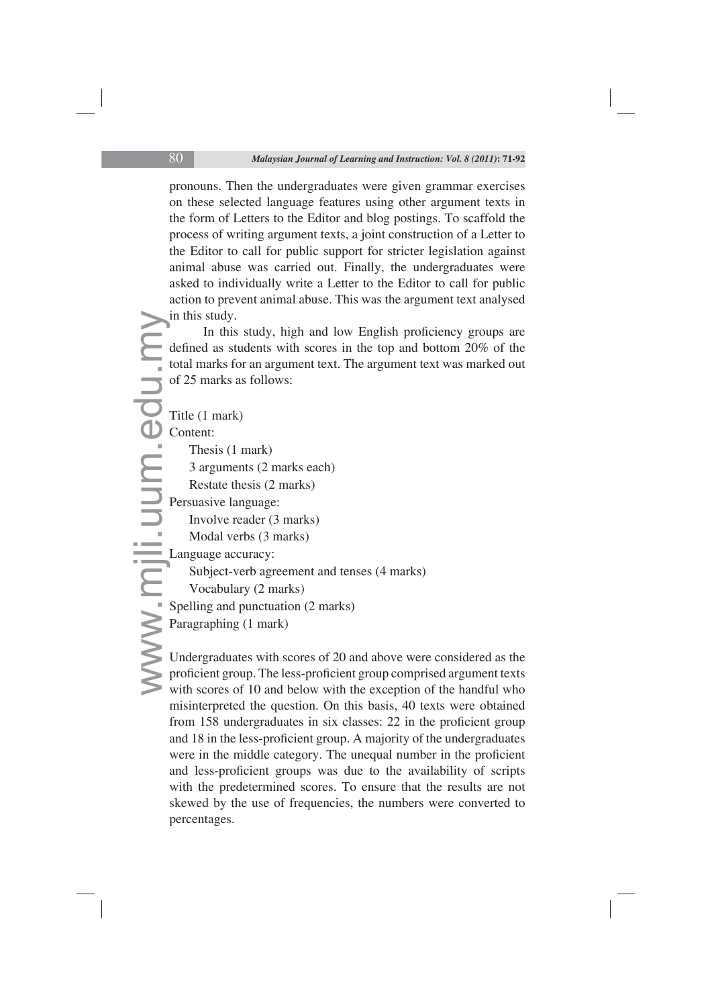pronouns. Then the undergraduates were given grammar exercises on these selected language features using other argument texts in the form of Letters to the Editor and blog postings. To scaffold the process of writing argument texts, a joint construction of a Letter to the Editor to call for public support for stricter legislation against animal abuse was carried out. Finally, the undergraduates were asked to individually write a Letter to the Editor to call for public action to prevent animal abuse. This was the argument text analysed in this study.

In this study, high and low English proficiency groups are defined as students with scores in the top and bottom 20% of the total marks for an argument text. The argument text was marked out of 25 marks as follows:

```
in<br>de<br>to<br>of<br>Ti<br>C<br>P<br>P<br>R<br>D<br>p<br>P<br>U<br>p<br>W
       Title (1 mark)
       Content:
             Thesis (1 mark)
             3 arguments (2 marks each)
             Restate thesis (2 marks)
       Persuasive language:
             Involve reader (3 marks)
             Modal verbs (3 marks)
       Language accuracy: 
             Subject-verb agreement and tenses (4 marks)
             Vocabulary (2 marks)
       Spelling and punctuation (2 marks)
       Paragraphing (1 mark)
```
Undergraduates with scores of 20 and above were considered as the proficient group. The less-proficient group comprised argument texts with scores of 10 and below with the exception of the handful who misinterpreted the question. On this basis, 40 texts were obtained from  $158$  undergraduates in six classes:  $22$  in the proficient group and 18 in the less-proficient group. A majority of the undergraduates were in the middle category. The unequal number in the proficient and less-proficient groups was due to the availability of scripts with the predetermined scores. To ensure that the results are not skewed by the use of frequencies, the numbers were converted to percentages.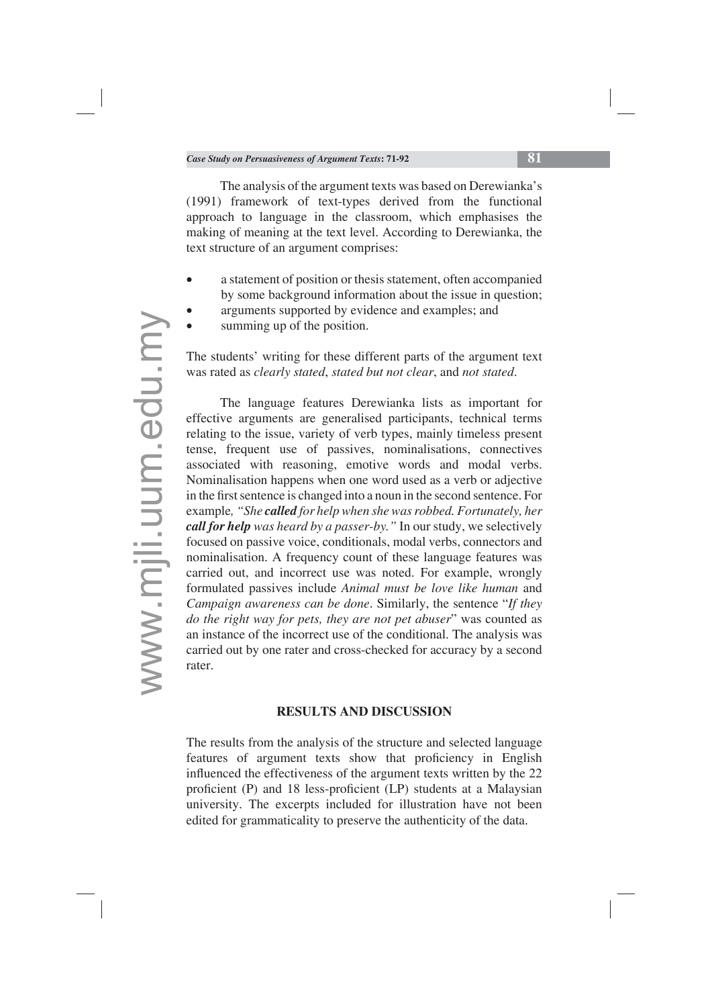The analysis of the argument texts was based on Derewianka's (1991) framework of text-types derived from the functional approach to language in the classroom, which emphasises the making of meaning at the text level. According to Derewianka, the text structure of an argument comprises:

- a statement of position or thesis statement, often accompanied by some background information about the issue in question;
- arguments supported by evidence and examples; and
- summing up of the position.

The students' writing for these different parts of the argument text was rated as *clearly stated*, *stated but not clear*, and *not stated*.

The language features Derewianka lists as important for effective arguments are generalised participants, technical terms relating to the issue, variety of verb types, mainly timeless present tense, frequent use of passives, nominalisations, connectives associated with reasoning, emotive words and modal verbs. Nominalisation happens when one word used as a verb or adjective in the first sentence is changed into a noun in the second sentence. For example*, "She called for help when she was robbed. Fortunately, her call for help was heard by a passer-by."* In our study, we selectively focused on passive voice, conditionals, modal verbs, connectors and nominalisation. A frequency count of these language features was carried out, and incorrect use was noted. For example, wrongly formulated passives include *Animal must be love like human* and *Campaign awareness can be done*. Similarly, the sentence "*If they do the right way for pets, they are not pet abuser*" was counted as an instance of the incorrect use of the conditional. The analysis was carried out by one rater and cross-checked for accuracy by a second rater.

## **RESULTS AND DISCUSSION**

The results from the analysis of the structure and selected language features of argument texts show that proficiency in English influenced the effectiveness of the argument texts written by the 22 proficient (P) and 18 less-proficient (LP) students at a Malaysian university. The excerpts included for illustration have not been edited for grammaticality to preserve the authenticity of the data.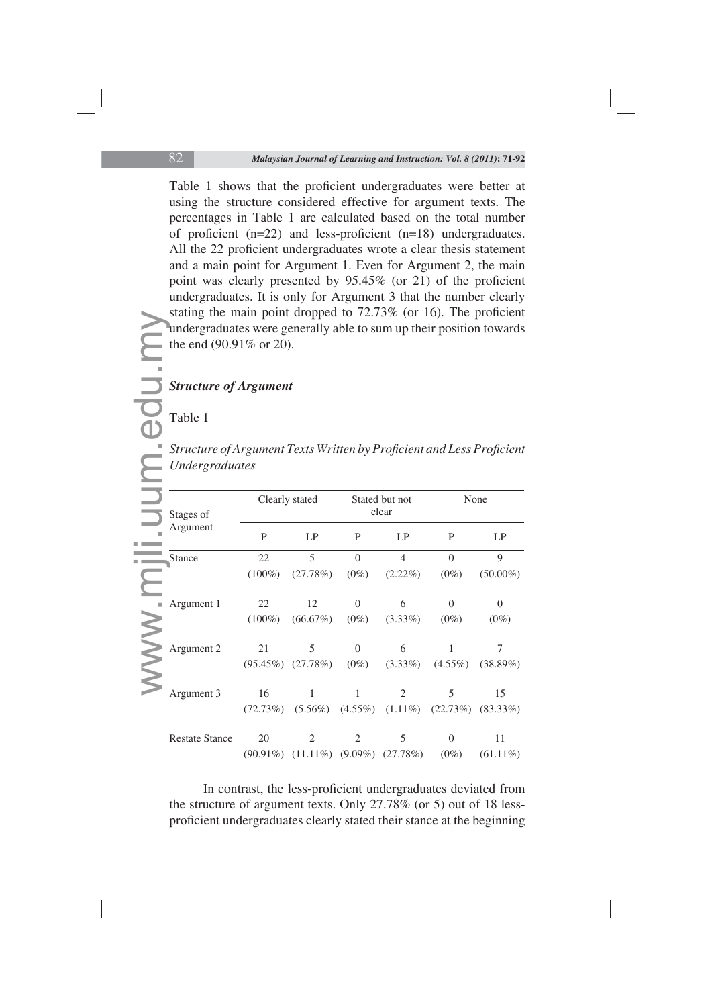Table 1 shows that the proficient undergraduates were better at using the structure considered effective for argument texts. The percentages in Table 1 are calculated based on the total number of proficient  $(n=22)$  and less-proficient  $(n=18)$  undergraduates. All the 22 proficient undergraduates wrote a clear thesis statement and a main point for Argument 1. Even for Argument 2, the main point was clearly presented by  $95.45\%$  (or 21) of the proficient undergraduates. It is only for Argument 3 that the number clearly stating the main point dropped to  $72.73\%$  (or 16). The proficient undergraduates were generally able to sum up their position towards the end (90.91% or 20).

## *Structure of Argument*

#### Table 1

|                                                                                                | <b>Structure of Argument</b> |                                                          |                |                          |                |                |  |
|------------------------------------------------------------------------------------------------|------------------------------|----------------------------------------------------------|----------------|--------------------------|----------------|----------------|--|
| Table 1                                                                                        |                              |                                                          |                |                          |                |                |  |
| Structure of Argument Texts Written by Proficient and Less Proficient<br><b>Undergraduates</b> |                              |                                                          |                |                          |                |                |  |
| Stages of<br>Argument                                                                          |                              | Clearly stated                                           |                | Stated but not<br>clear  |                | None           |  |
|                                                                                                | P                            | LP                                                       | $\mathbf{P}$   | LP                       | P              | LP             |  |
| <b>Stance</b>                                                                                  | 22                           | $\overline{5}$                                           | $\overline{0}$ | $\overline{\mathcal{L}}$ | $\theta$       | 9              |  |
|                                                                                                | $(100\%)$                    | (27.78%)                                                 | $(0\%)$        | $(2.22\%)$               | $(0\%)$        | $(50.00\%)$    |  |
| Argument 1                                                                                     | 22                           | 12                                                       | $\mathbf{0}$   | 6                        | $\overline{0}$ | $\overline{0}$ |  |
|                                                                                                | $(100\%)$                    | (66.67%)                                                 | $(0\%)$        | $(3.33\%)$               | $(0\%)$        | $(0\%)$        |  |
| Argument 2                                                                                     | 21                           | 5                                                        | $\Omega$       | 6                        | $\mathbf{1}$   | 7              |  |
|                                                                                                |                              | $(95.45\%)$ $(27.78\%)$                                  | $(0\%)$        | $(3.33\%)$               | $(4.55\%)$     | $(38.89\%)$    |  |
| Argument 3                                                                                     | 16                           | $\mathbf{1}$                                             | $\mathbf{1}$   | $\overline{2}$           | 5              | 15             |  |
|                                                                                                |                              |                                                          |                |                          |                |                |  |
|                                                                                                | (72.73%)                     | $(5.56\%)$ $(4.55\%)$ $(1.11\%)$ $(22.73\%)$ $(83.33\%)$ |                |                          |                |                |  |
| <b>Restate Stance</b>                                                                          | 20                           | $\overline{2}$                                           | $\overline{2}$ | 5                        | $\overline{0}$ | 11             |  |

In contrast, the less-proficient undergraduates deviated from the structure of argument texts. Only 27.78% (or 5) out of 18 lessproficient undergraduates clearly stated their stance at the beginning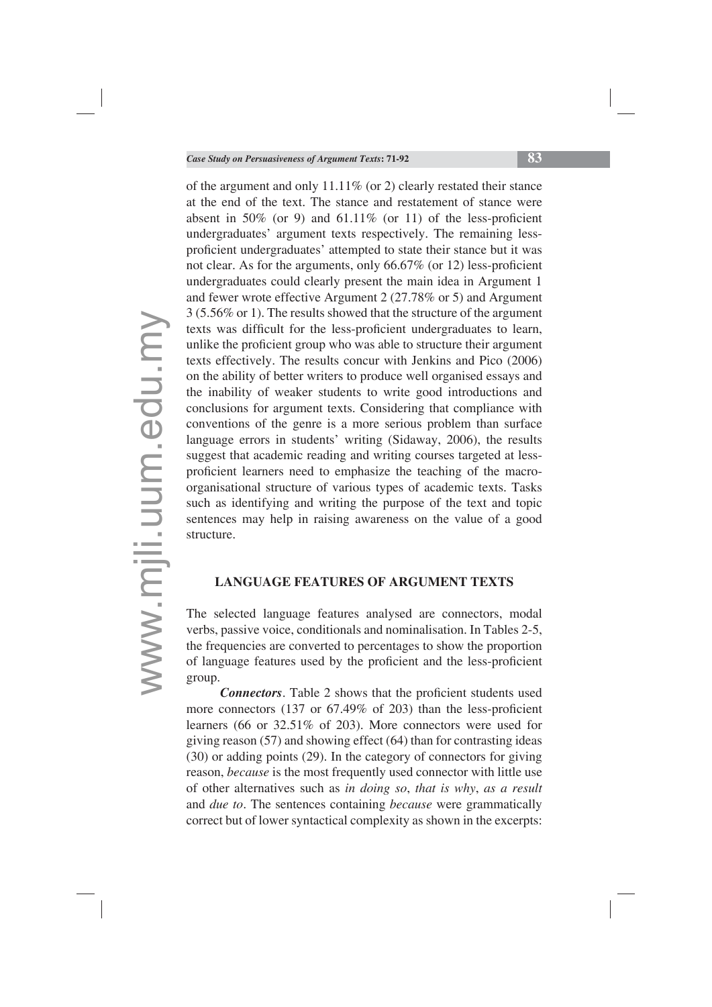of the argument and only 11.11% (or 2) clearly restated their stance at the end of the text. The stance and restatement of stance were absent in 50% (or 9) and  $61.11\%$  (or 11) of the less-proficient undergraduates' argument texts respectively. The remaining lessproficient undergraduates' attempted to state their stance but it was not clear. As for the arguments, only  $66.67\%$  (or 12) less-proficient undergraduates could clearly present the main idea in Argument 1 and fewer wrote effective Argument 2 (27.78% or 5) and Argument 3 (5.56% or 1). The results showed that the structure of the argument texts was difficult for the less-proficient undergraduates to learn, unlike the proficient group who was able to structure their argument texts effectively. The results concur with Jenkins and Pico (2006) on the ability of better writers to produce well organised essays and the inability of weaker students to write good introductions and conclusions for argument texts. Considering that compliance with conventions of the genre is a more serious problem than surface language errors in students' writing (Sidaway, 2006), the results suggest that academic reading and writing courses targeted at lessproficient learners need to emphasize the teaching of the macroorganisational structure of various types of academic texts. Tasks such as identifying and writing the purpose of the text and topic sentences may help in raising awareness on the value of a good structure.

## **LANGUAGE FEATURES OF ARGUMENT TEXTS**

The selected language features analysed are connectors, modal verbs, passive voice, conditionals and nominalisation. In Tables 2-5, the frequencies are converted to percentages to show the proportion of language features used by the proficient and the less-proficient group.

**Connectors**. Table 2 shows that the proficient students used more connectors  $(137 \text{ or } 67.49\% \text{ of } 203)$  than the less-proficient learners (66 or 32.51% of 203). More connectors were used for giving reason (57) and showing effect (64) than for contrasting ideas (30) or adding points (29). In the category of connectors for giving reason, *because* is the most frequently used connector with little use of other alternatives such as *in doing so*, *that is why*, *as a result* and *due to*. The sentences containing *because* were grammatically correct but of lower syntactical complexity as shown in the excerpts: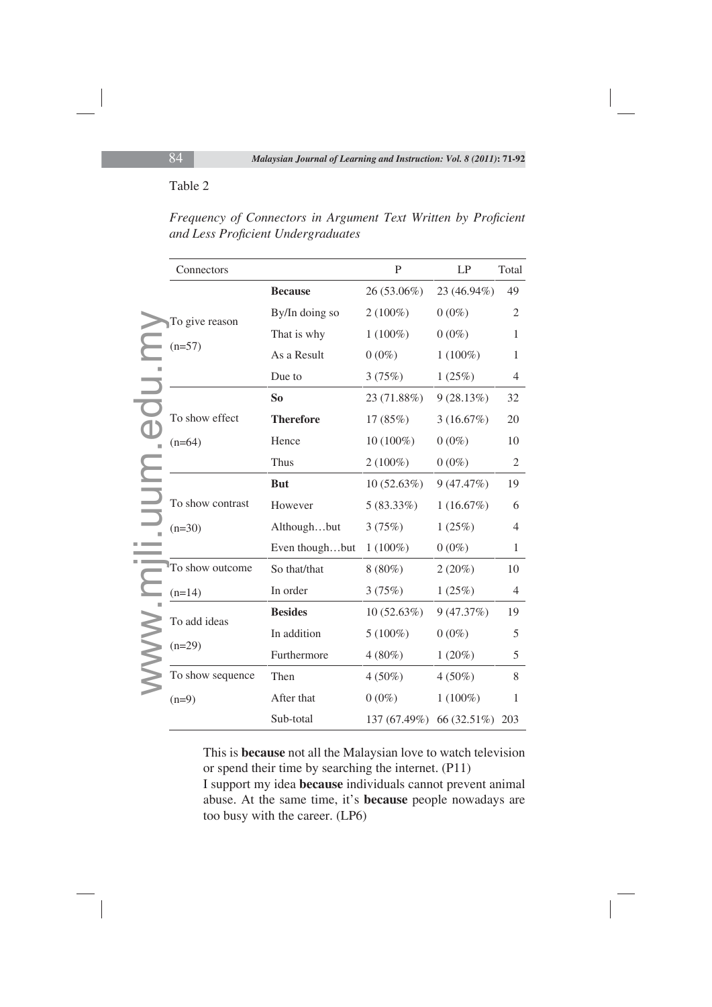#### Table 2

| Connectors               |                  | $\mathbf{P}$ | LP          | Total          |
|--------------------------|------------------|--------------|-------------|----------------|
|                          | <b>Because</b>   | 26 (53.06%)  | 23 (46.94%) | 49             |
| To give reason           | By/In doing so   | $2(100\%)$   | $0(0\%)$    | 2              |
|                          | That is why      | $1(100\%)$   | $0(0\%)$    | $\mathbf{1}$   |
| $(n=57)$                 | As a Result      | $0(0\%)$     | $1(100\%)$  | $\mathbf{1}$   |
|                          | Due to           | 3(75%)       | 1(25%)      | $\overline{4}$ |
|                          | So               | 23 (71.88%)  | 9(28.13%)   | 32             |
| To show effect           | <b>Therefore</b> | 17(85%)      | 3(16.67%)   | 20             |
| $(n=64)$                 | Hence            | 10 (100%)    | $0(0\%)$    | 10             |
|                          | Thus             | $2(100\%)$   | $0(0\%)$    | 2              |
|                          | <b>But</b>       | 10(52.63%)   | 9(47.47%)   | 19             |
| To show contrast         | However          | $5(83.33\%)$ | 1(16.67%)   | 6              |
| $(n=30)$                 | Althoughbut      | 3(75%)       | 1(25%)      | 4              |
|                          | Even thoughbut   | $1(100\%)$   | $0(0\%)$    | $\mathbf{1}$   |
| To show outcome          | So that/that     | $8(80\%)$    | 2(20%)      | 10             |
| $(n=14)$                 | In order         | 3(75%)       | 1(25%)      | 4              |
| To add ideas<br>$(n=29)$ | <b>Besides</b>   | 10(52.63%)   | 9(47.37%)   | 19             |
|                          | In addition      | $5(100\%)$   | $0(0\%)$    | 5              |
|                          | Furthermore      | $4(80\%)$    | $1(20\%)$   | 5              |
| To show sequence         | Then             | $4(50\%)$    | $4(50\%)$   | 8              |
| $(n=9)$                  | After that       | $0(0\%)$     | $1(100\%)$  | 1              |
|                          | Sub-total        | 137 (67.49%) | 66 (32.51%) | 203            |

*Frequency of Connectors in Argument Text Written by Proficient and Less Profi cient Undergraduates*

This is **because** not all the Malaysian love to watch television or spend their time by searching the internet. (P11)

I support my idea **because** individuals cannot prevent animal abuse. At the same time, it's **because** people nowadays are too busy with the career. (LP6)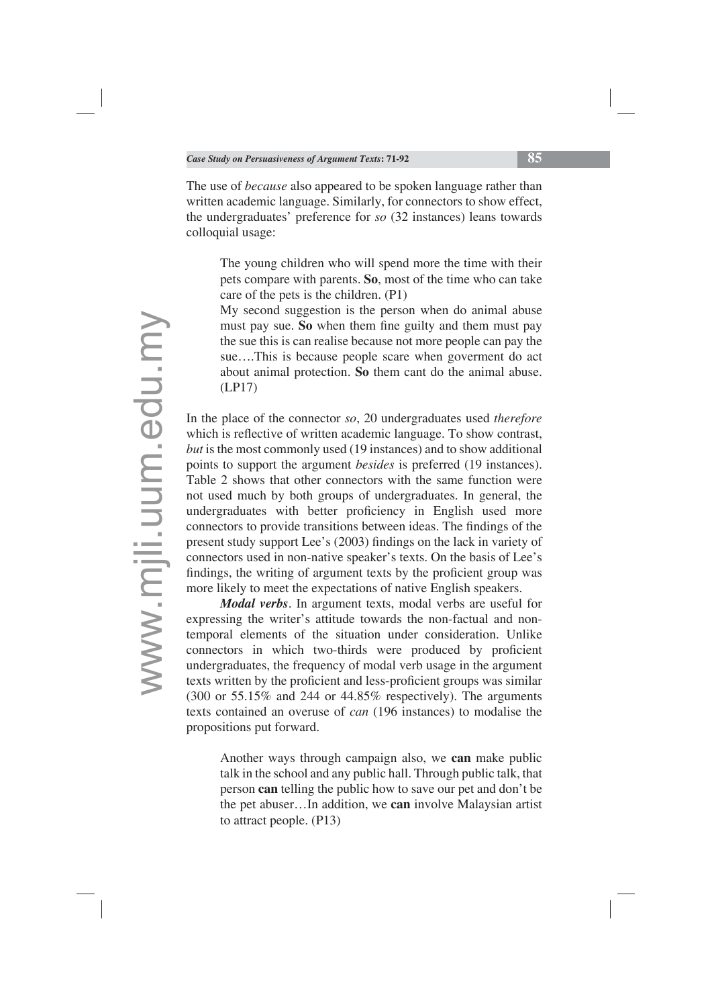The use of *because* also appeared to be spoken language rather than written academic language. Similarly, for connectors to show effect, the undergraduates' preference for *so* (32 instances) leans towards colloquial usage:

The young children who will spend more the time with their pets compare with parents. **So**, most of the time who can take care of the pets is the children. (P1)

My second suggestion is the person when do animal abuse must pay sue. So when them fine guilty and them must pay the sue this is can realise because not more people can pay the sue….This is because people scare when goverment do act about animal protection. **So** them cant do the animal abuse. (LP17)

In the place of the connector *so*, 20 undergraduates used *therefore* which is reflective of written academic language. To show contrast, *but* is the most commonly used (19 instances) and to show additional points to support the argument *besides* is preferred (19 instances). Table 2 shows that other connectors with the same function were not used much by both groups of undergraduates. In general, the undergraduates with better proficiency in English used more connectors to provide transitions between ideas. The findings of the present study support Lee's (2003) findings on the lack in variety of connectors used in non-native speaker's texts. On the basis of Lee's findings, the writing of argument texts by the proficient group was more likely to meet the expectations of native English speakers.

*Modal verbs*. In argument texts, modal verbs are useful for expressing the writer's attitude towards the non-factual and nontemporal elements of the situation under consideration. Unlike connectors in which two-thirds were produced by proficient undergraduates, the frequency of modal verb usage in the argument texts written by the proficient and less-proficient groups was similar (300 or 55.15% and 244 or 44.85% respectively). The arguments texts contained an overuse of *can* (196 instances) to modalise the propositions put forward.

Another ways through campaign also, we **can** make public talk in the school and any public hall. Through public talk, that person **can** telling the public how to save our pet and don't be the pet abuser…In addition, we **can** involve Malaysian artist to attract people. (P13)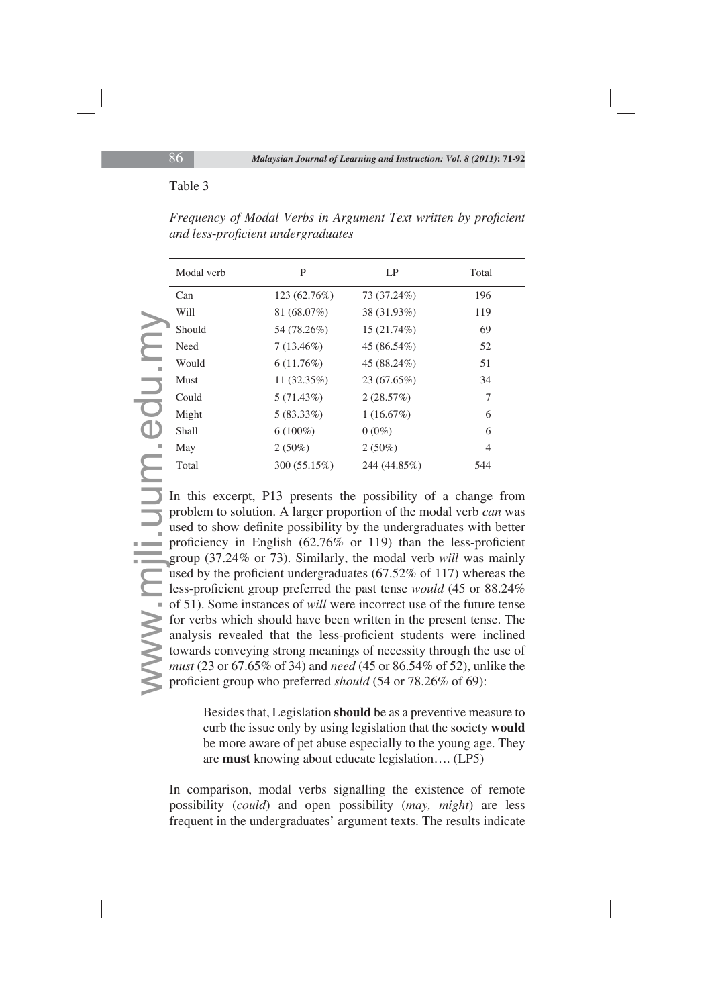## Table 3

| Modal verb  | P              | LP           | Total |
|-------------|----------------|--------------|-------|
| Can         | 123 (62.76%)   | 73 (37.24%)  | 196   |
| Will        | 81 (68.07%)    | 38 (31.93%)  | 119   |
| Should      | 54 (78.26%)    | 15(21.74%)   | 69    |
| Need        | $7(13.46\%)$   | 45 (86.54%)  | 52    |
| Would       | $6(11.76\%)$   | 45 (88.24%)  | 51    |
| <b>Must</b> | 11 $(32.35\%)$ | 23 (67.65%)  | 34    |
| Could       | 5(71.43%)      | 2(28.57%)    | 7     |
| Might       | $5(83.33\%)$   | 1(16.67%)    | 6     |
| Shall       | $6(100\%)$     | $0(0\%)$     | 6     |
| May         | $2(50\%)$      | $2(50\%)$    | 4     |
| Total       | 300 (55.15%)   | 244 (44.85%) | 544   |

*Frequency of Modal Verbs in Argument Text written by proficient and less*-*profi cient undergraduates*

www.mjli.uum.edu.my In this excerpt, P13 presents the possibility of a change from problem to solution. A larger proportion of the modal verb *can* was used to show definite possibility by the undergraduates with better proficiency in English  $(62.76\% \text{ or } 119)$  than the less-proficient group (37.24% or 73). Similarly, the modal verb *will* was mainly used by the proficient undergraduates  $(67.52\% \text{ of } 117)$  whereas the less-proficient group preferred the past tense *would* (45 or 88.24%) of 51). Some instances of *will* were incorrect use of the future tense for verbs which should have been written in the present tense. The analysis revealed that the less-proficient students were inclined towards conveying strong meanings of necessity through the use of *must* (23 or 67.65% of 34) and *need* (45 or 86.54% of 52), unlike the proficient group who preferred *should* (54 or 78.26% of 69):

> Besides that, Legislation **should** be as a preventive measure to curb the issue only by using legislation that the society **would** be more aware of pet abuse especially to the young age. They are **must** knowing about educate legislation…. (LP5)

In comparison, modal verbs signalling the existence of remote possibility (*could*) and open possibility (*may, might*) are less frequent in the undergraduates' argument texts. The results indicate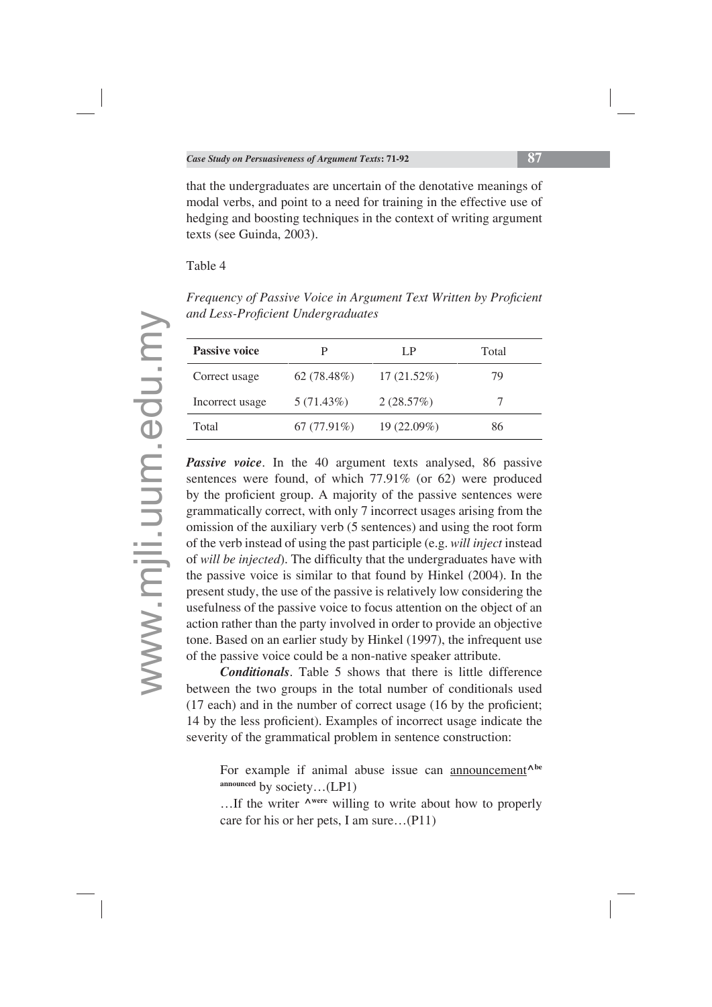that the undergraduates are uncertain of the denotative meanings of modal verbs, and point to a need for training in the effective use of hedging and boosting techniques in the context of writing argument texts (see Guinda, 2003).

#### Table 4

*Frequency of Passive Voice in Argument Text Written by Proficient and Less-Profi cient Undergraduates*

| <b>Passive voice</b> |               | L P           | Total |
|----------------------|---------------|---------------|-------|
| Correct usage        | 62(78.48%)    | $17(21.52\%)$ | 79    |
| Incorrect usage      | $5(71.43\%)$  | 2(28.57%)     |       |
| Total                | $67(77.91\%)$ | $19(22.09\%)$ | 86    |

*Passive voice*. In the 40 argument texts analysed, 86 passive sentences were found, of which 77.91% (or 62) were produced by the proficient group. A majority of the passive sentences were grammatically correct, with only 7 incorrect usages arising from the omission of the auxiliary verb (5 sentences) and using the root form of the verb instead of using the past participle (e.g. *will inject* instead of *will be injected*). The difficulty that the undergraduates have with the passive voice is similar to that found by Hinkel (2004). In the present study, the use of the passive is relatively low considering the usefulness of the passive voice to focus attention on the object of an action rather than the party involved in order to provide an objective tone. Based on an earlier study by Hinkel (1997), the infrequent use of the passive voice could be a non-native speaker attribute.

*Conditionals*. Table 5 shows that there is little difference between the two groups in the total number of conditionals used  $(17$  each) and in the number of correct usage  $(16$  by the proficient; 14 by the less proficient). Examples of incorrect usage indicate the severity of the grammatical problem in sentence construction:

For example if animal abuse issue can announcement**^be announced** by society…(LP1)

…If the writer **^were** willing to write about how to properly care for his or her pets, I am sure…(P11)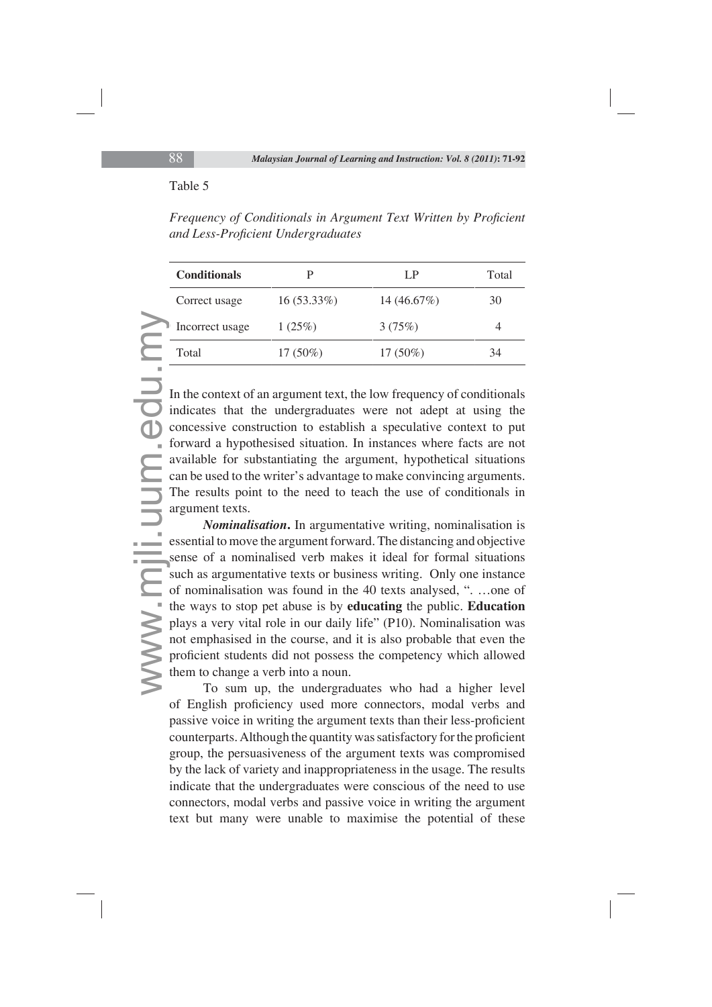#### Table 5

*Frequency of Conditionals in Argument Text Written by Proficient and Less-Profi cient Undergraduates*

| <b>Conditionals</b> |               | I P           | Total |
|---------------------|---------------|---------------|-------|
| Correct usage       | $16(53.33\%)$ | 14 $(46.67%)$ | 30    |
| Incorrect usage     | 1(25%)        | 3(75%)        | 4     |
| Total               | $17(50\%)$    | $17(50\%)$    | 34    |

In the context of an argument text, the low frequency of conditionals indicates that the undergraduates were not adept at using the concessive construction to establish a speculative context to put forward a hypothesised situation. In instances where facts are not available for substantiating the argument, hypothetical situations can be used to the writer's advantage to make convincing arguments. The results point to the need to teach the use of conditionals in argument texts.

Modern Line<br>
1<br>
In in co<br>
fo av<br>
ca<br>
Tar<br>
es<br>
se<br>
su<br>
of th<br>
pl<br>
no<br>
pr<br>
th *Nominalisation***.** In argumentative writing, nominalisation is essential to move the argument forward. The distancing and objective sense of a nominalised verb makes it ideal for formal situations such as argumentative texts or business writing. Only one instance of nominalisation was found in the 40 texts analysed, ". …one of the ways to stop pet abuse is by **educating** the public. **Education**  plays a very vital role in our daily life" (P10). Nominalisation was not emphasised in the course, and it is also probable that even the proficient students did not possess the competency which allowed them to change a verb into a noun.

To sum up, the undergraduates who had a higher level of English proficiency used more connectors, modal verbs and passive voice in writing the argument texts than their less-proficient counterparts. Although the quantity was satisfactory for the proficient group, the persuasiveness of the argument texts was compromised by the lack of variety and inappropriateness in the usage. The results indicate that the undergraduates were conscious of the need to use connectors, modal verbs and passive voice in writing the argument text but many were unable to maximise the potential of these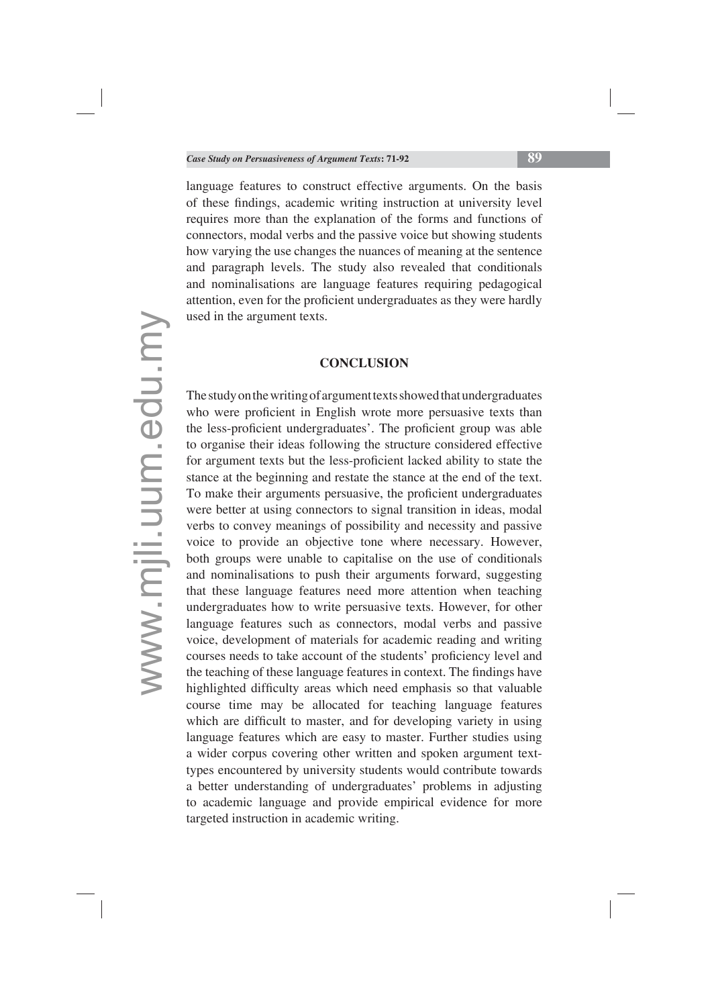language features to construct effective arguments. On the basis of these findings, academic writing instruction at university level requires more than the explanation of the forms and functions of connectors, modal verbs and the passive voice but showing students how varying the use changes the nuances of meaning at the sentence and paragraph levels. The study also revealed that conditionals and nominalisations are language features requiring pedagogical attention, even for the proficient undergraduates as they were hardly used in the argument texts.

#### **CONCLUSION**

The study on the writing of argument texts showed that undergraduates who were proficient in English wrote more persuasive texts than the less-proficient undergraduates'. The proficient group was able to organise their ideas following the structure considered effective for argument texts but the less-proficient lacked ability to state the stance at the beginning and restate the stance at the end of the text. To make their arguments persuasive, the proficient undergraduates were better at using connectors to signal transition in ideas, modal verbs to convey meanings of possibility and necessity and passive voice to provide an objective tone where necessary. However, both groups were unable to capitalise on the use of conditionals and nominalisations to push their arguments forward, suggesting that these language features need more attention when teaching undergraduates how to write persuasive texts. However, for other language features such as connectors, modal verbs and passive voice, development of materials for academic reading and writing courses needs to take account of the students' proficiency level and the teaching of these language features in context. The findings have highlighted difficulty areas which need emphasis so that valuable course time may be allocated for teaching language features which are difficult to master, and for developing variety in using language features which are easy to master. Further studies using a wider corpus covering other written and spoken argument texttypes encountered by university students would contribute towards a better understanding of undergraduates' problems in adjusting to academic language and provide empirical evidence for more targeted instruction in academic writing.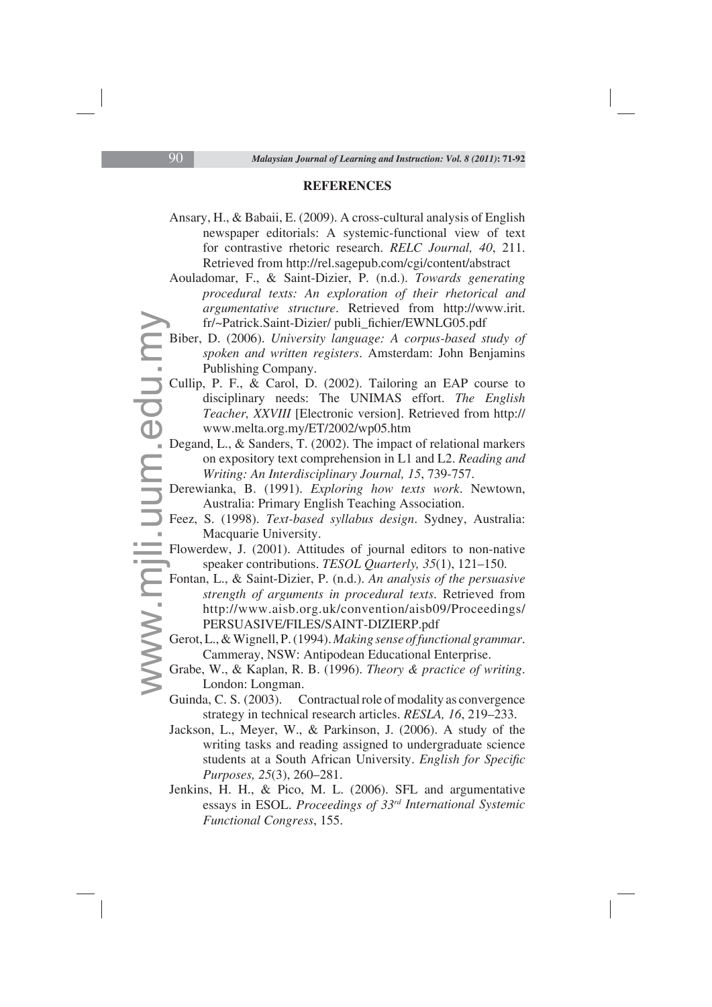#### **REFERENCES**

- Ansary, H., & Babaii, E. (2009). A cross-cultural analysis of English newspaper editorials: A systemic-functional view of text for contrastive rhetoric research. *RELC Journal, 40*, 211. Retrieved from http://rel.sagepub.com/cgi/content/abstract
- Aouladomar, F., & Saint-Dizier, P. (n.d.). *Towards generating procedural texts: An exploration of their rhetorical and argumentative structure*. Retrieved from http://www.irit. fr/~Patrick.Saint-Dizier/ publi\_fichier/EWNLG05.pdf
- Biber, D. (2006). *University language: A corpus-based study of spoken and written registers*. Amsterdam: John Benjamins Publishing Company.
- B<br>C<br>D<br>D<br>D<br>F<br>F<br>F<br>F<br>G<br>G<br>G Cullip, P. F., & Carol, D. (2002). Tailoring an EAP course to disciplinary needs: The UNIMAS effort. *The English Teacher, XXVIII* [Electronic version]. Retrieved from http:// www.melta.org.my/ET/2002/wp05.htm
	- Degand, L., & Sanders, T. (2002). The impact of relational markers on expository text comprehension in L1 and L2. *Reading and Writing: An Interdisciplinary Journal, 15*, 739-757.
	- Derewianka, B. (1991). *Exploring how texts work*. Newtown, Australia: Primary English Teaching Association.
	- Feez, S. (1998). *Text-based syllabus design*. Sydney, Australia: Macquarie University.
	- Flowerdew, J. (2001). Attitudes of journal editors to non-native speaker contributions. *TESOL Quarterly, 35*(1), 121–150.
	- Fontan, L., & Saint-Dizier, P. (n.d.). *An analysis of the persuasive strength of arguments in procedural texts*. Retrieved from http://www.aisb.org.uk/convention/aisb09/Proceedings/ PERSUASIVE/FILES/SAINT-DIZIERP.pdf
	- Gerot, L., & Wignell, P. (1994). *Making sense of functional grammar*. Cammeray, NSW: Antipodean Educational Enterprise.
	- Grabe, W., & Kaplan, R. B. (1996). *Theory & practice of writing*. London: Longman.
	- Guinda, C. S. (2003). Contractual role of modality as convergence strategy in technical research articles. *RESLA, 16*, 219–233.
	- Jackson, L., Meyer, W., & Parkinson, J. (2006). A study of the writing tasks and reading assigned to undergraduate science students at a South African University. *English for Specific Purposes, 25*(3), 260–281.
	- Jenkins, H. H., & Pico, M. L. (2006). SFL and argumentative essays in ESOL. *Proceedings of 33rd International Systemic Functional Congress*, 155.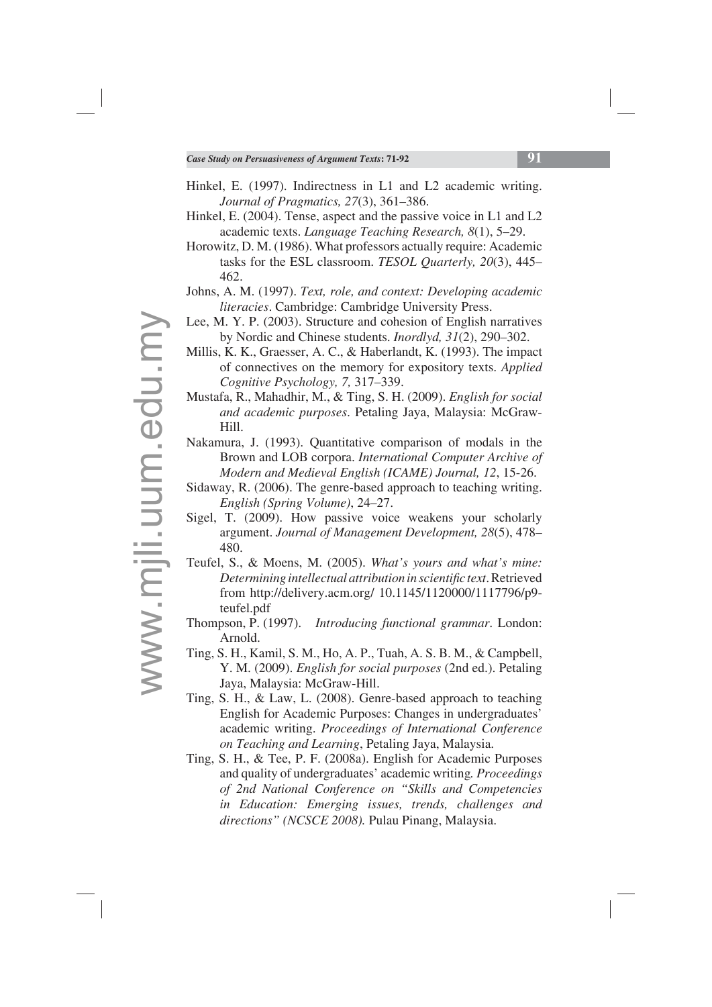- Hinkel, E. (1997). Indirectness in L1 and L2 academic writing. *Journal of Pragmatics, 27*(3), 361–386.
- Hinkel, E. (2004). Tense, aspect and the passive voice in L1 and L2 academic texts. *Language Teaching Research, 8*(1), 5–29.
- Horowitz, D. M. (1986). What professors actually require: Academic tasks for the ESL classroom. *TESOL Quarterly, 20*(3), 445– 462.
- Johns, A. M. (1997). *Text, role, and context: Developing academic literacies*. Cambridge: Cambridge University Press.
- Lee, M. Y. P. (2003). Structure and cohesion of English narratives by Nordic and Chinese students. *Inordlyd, 31*(2), 290–302.
- Millis, K. K., Graesser, A. C., & Haberlandt, K. (1993). The impact of connectives on the memory for expository texts. *Applied Cognitive Psychology, 7,* 317–339.
- Mustafa, R., Mahadhir, M., & Ting, S. H. (2009). *English for social and academic purposes*. Petaling Jaya, Malaysia: McGraw-Hill.
- Nakamura, J. (1993). Quantitative comparison of modals in the Brown and LOB corpora. *International Computer Archive of Modern and Medieval English (ICAME) Journal, 12*, 15-26.
- Sidaway, R. (2006). The genre-based approach to teaching writing. *English (Spring Volume)*, 24–27.
- Sigel, T. (2009). How passive voice weakens your scholarly argument. *Journal of Management Development, 28*(5), 478– 480.
- Teufel, S., & Moens, M. (2005). *What's yours and what's mine: Determining intellectual attribution in scientific text.* Retrieved from http://delivery.acm.org/ 10.1145/1120000/1117796/p9 teufel.pdf
- Thompson, P. (1997). *Introducing functional grammar*. London: Arnold.
- Ting, S. H., Kamil, S. M., Ho, A. P., Tuah, A. S. B. M., & Campbell, Y. M. (2009). *English for social purposes* (2nd ed.). Petaling Jaya, Malaysia: McGraw-Hill.
- Ting, S. H., & Law, L. (2008). Genre-based approach to teaching English for Academic Purposes: Changes in undergraduates' academic writing. *Proceedings of International Conference on Teaching and Learning*, Petaling Jaya, Malaysia.
- Ting, S. H., & Tee, P. F. (2008a). English for Academic Purposes and quality of undergraduates' academic writing*. Proceedings of 2nd National Conference on "Skills and Competencies in Education: Emerging issues, trends, challenges and directions" (NCSCE 2008).* Pulau Pinang, Malaysia.